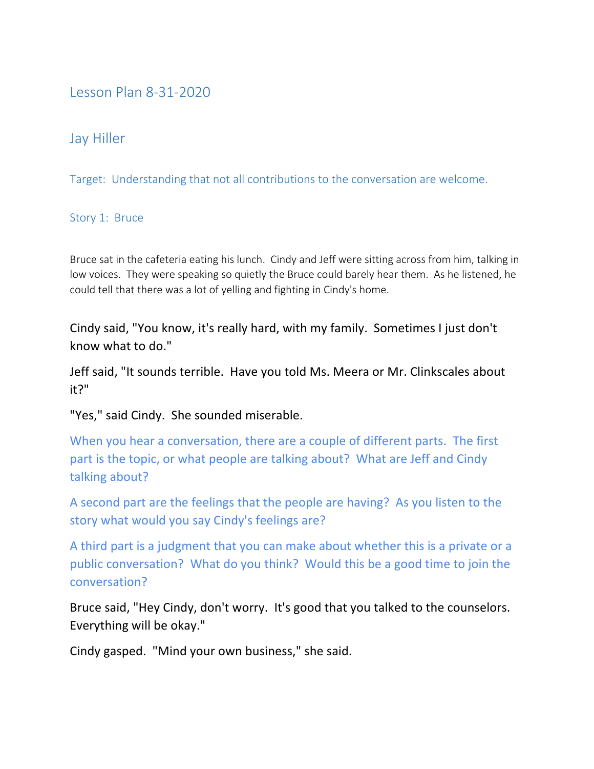## Lesson Plan 8-31-2020

## Jay Hiller

Target: Understanding that not all contributions to the conversation are welcome.

## Story 1: Bruce

Bruce sat in the cafeteria eating his lunch. Cindy and Jeff were sitting across from him, talking in low voices. They were speaking so quietly the Bruce could barely hear them. As he listened, he could tell that there was a lot of yelling and fighting in Cindy's home.

Cindy said, "You know, it's really hard, with my family. Sometimes I just don't know what to do."

Jeff said, "It sounds terrible. Have you told Ms. Meera or Mr. Clinkscales about it?"

"Yes," said Cindy. She sounded miserable.

When you hear a conversation, there are a couple of different parts. The first part is the topic, or what people are talking about? What are Jeff and Cindy talking about?

A second part are the feelings that the people are having? As you listen to the story what would you say Cindy's feelings are?

A third part is a judgment that you can make about whether this is a private or a public conversation? What do you think? Would this be a good time to join the conversation?

Bruce said, "Hey Cindy, don't worry. It's good that you talked to the counselors. Everything will be okay."

Cindy gasped. "Mind your own business," she said.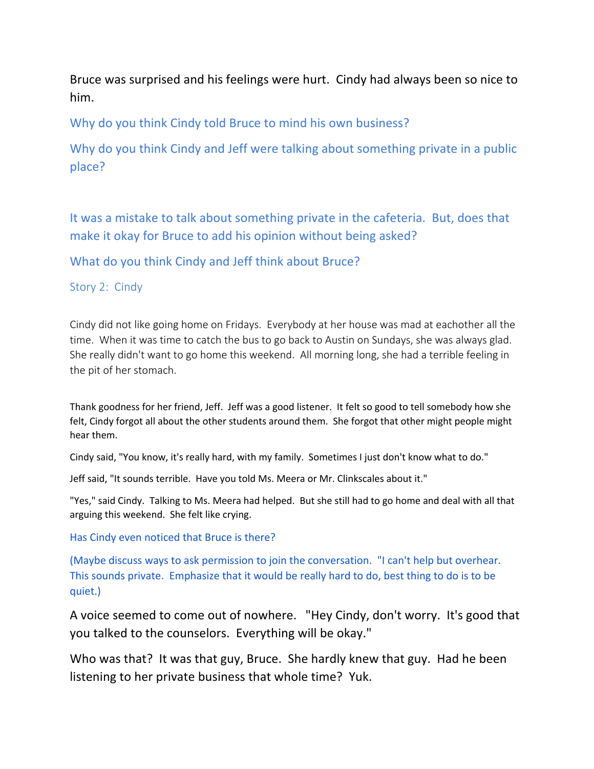Bruce was surprised and his feelings were hurt. Cindy had always been so nice to him.

Why do you think Cindy told Bruce to mind his own business?

Why do you think Cindy and Jeff were talking about something private in a public place?

It was a mistake to talk about something private in the cafeteria. But, does that make it okay for Bruce to add his opinion without being asked?

What do you think Cindy and Jeff think about Bruce?

## Story 2: Cindy

Cindy did not like going home on Fridays. Everybody at her house was mad at eachother all the time. When it was time to catch the bus to go back to Austin on Sundays, she was always glad. She really didn't want to go home this weekend. All morning long, she had a terrible feeling in the pit of her stomach.

Thank goodness for her friend, Jeff. Jeff was a good listener. It felt so good to tell somebody how she felt, Cindy forgot all about the other students around them. She forgot that other might people might hear them.

Cindy said, "You know, it's really hard, with my family. Sometimes I just don't know what to do."

Jeff said, "It sounds terrible. Have you told Ms. Meera or Mr. Clinkscales about it."

"Yes," said Cindy. Talking to Ms. Meera had helped. But she still had to go home and deal with all that arguing this weekend. She felt like crying.

Has Cindy even noticed that Bruce is there?

(Maybe discuss ways to ask permission to join the conversation. "I can't help but overhear. This sounds private. Emphasize that it would be really hard to do, best thing to do is to be quiet.)

A voice seemed to come out of nowhere. "Hey Cindy, don't worry. It's good that you talked to the counselors. Everything will be okay."

Who was that? It was that guy, Bruce. She hardly knew that guy. Had he been listening to her private business that whole time? Yuk.